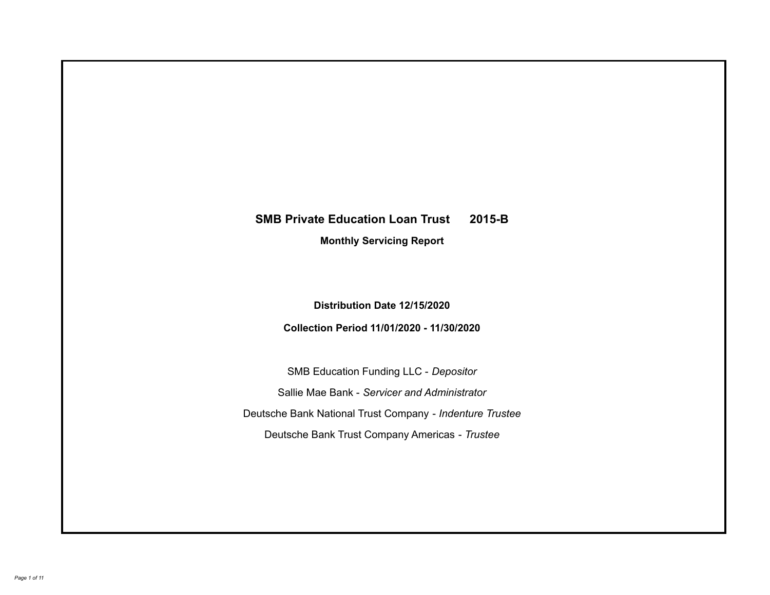# **SMB Private Education Loan Trust 2015-B Monthly Servicing Report**

**Distribution Date 12/15/2020**

**Collection Period 11/01/2020 - 11/30/2020**

SMB Education Funding LLC - *Depositor* Sallie Mae Bank - *Servicer and Administrator* Deutsche Bank National Trust Company - *Indenture Trustee* Deutsche Bank Trust Company Americas - *Trustee*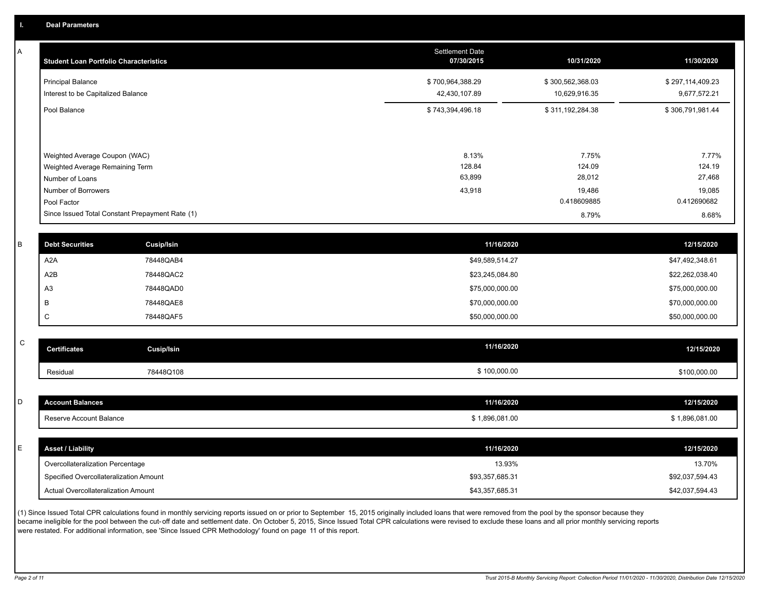A

| <b>Student Loan Portfolio Characteristics</b>                                                                             | <b>Settlement Date</b><br>07/30/2015 | 10/31/2020                                         | 11/30/2020                                         |
|---------------------------------------------------------------------------------------------------------------------------|--------------------------------------|----------------------------------------------------|----------------------------------------------------|
| <b>Principal Balance</b><br>Interest to be Capitalized Balance                                                            | \$700,964,388.29<br>42,430,107.89    | \$300,562,368.03<br>10,629,916.35                  | \$297,114,409.23<br>9,677,572.21                   |
| Pool Balance                                                                                                              | \$743,394,496.18                     | \$311,192,284.38                                   | \$306,791,981.44                                   |
| Weighted Average Coupon (WAC)<br>Weighted Average Remaining Term<br>Number of Loans<br>Number of Borrowers<br>Pool Factor | 8.13%<br>128.84<br>63,899<br>43,918  | 7.75%<br>124.09<br>28,012<br>19,486<br>0.418609885 | 7.77%<br>124.19<br>27,468<br>19,085<br>0.412690682 |
| Since Issued Total Constant Prepayment Rate (1)                                                                           |                                      | 8.79%                                              | 8.68%                                              |
|                                                                                                                           |                                      |                                                    |                                                    |

| . B | <b>Debt Securities</b> | <b>Cusip/Isin</b> | 11/16/2020      | 12/15/2020      |
|-----|------------------------|-------------------|-----------------|-----------------|
|     | A <sub>2</sub> A       | 78448QAB4         | \$49,589,514.27 | \$47,492,348.61 |
|     | A2B                    | 78448QAC2         | \$23,245,084.80 | \$22,262,038.40 |
|     | A <sub>3</sub>         | 78448QAD0         | \$75,000,000.00 | \$75,000,000.00 |
|     | B                      | 78448QAE8         | \$70,000,000.00 | \$70,000,000.00 |
|     | $\sim$<br>◡            | 78448QAF5         | \$50,000,000.00 | \$50,000,000.00 |

| $\sim$<br>◡ | <b>Certificates</b> | Cusip/Isin | 11/16/2020   | 12/15/2020   |
|-------------|---------------------|------------|--------------|--------------|
|             | Residual            | 78448Q108  | \$100,000.00 | \$100,000.00 |

| <b>Account Balances</b>          | 11/16/2020     | 12/15/2020                                                |
|----------------------------------|----------------|-----------------------------------------------------------|
| Reserve Account Balance          | \$1,896,081.00 | \$1,896,081.00                                            |
|                                  |                |                                                           |
| <b>Asset / Liability</b>         | 11/16/2020     | 12/15/2020                                                |
| Overcollateralization Percentage | 13.93%         | 13.70%                                                    |
|                                  |                | \$92,037,594.43                                           |
|                                  |                |                                                           |
|                                  |                | Specified Overcollateralization Amount<br>\$93,357,685.31 |

(1) Since Issued Total CPR calculations found in monthly servicing reports issued on or prior to September 15, 2015 originally included loans that were removed from the pool by the sponsor because they became ineligible for the pool between the cut-off date and settlement date. On October 5, 2015, Since Issued Total CPR calculations were revised to exclude these loans and all prior monthly servicing reports were restated. For additional information, see 'Since Issued CPR Methodology' found on page 11 of this report.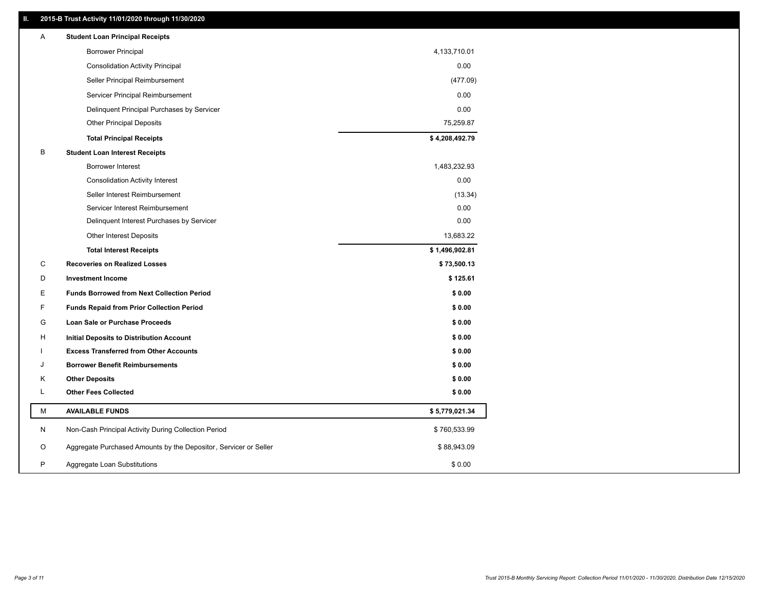### **II. 2015-B Trust Activity 11/01/2020 through 11/30/2020**

| A | <b>Student Loan Principal Receipts</b>                           |                |  |
|---|------------------------------------------------------------------|----------------|--|
|   | <b>Borrower Principal</b>                                        | 4,133,710.01   |  |
|   | <b>Consolidation Activity Principal</b>                          | 0.00           |  |
|   | Seller Principal Reimbursement                                   | (477.09)       |  |
|   | Servicer Principal Reimbursement                                 | 0.00           |  |
|   | Delinquent Principal Purchases by Servicer                       | 0.00           |  |
|   | <b>Other Principal Deposits</b>                                  | 75,259.87      |  |
|   | <b>Total Principal Receipts</b>                                  | \$4,208,492.79 |  |
| В | <b>Student Loan Interest Receipts</b>                            |                |  |
|   | Borrower Interest                                                | 1,483,232.93   |  |
|   | <b>Consolidation Activity Interest</b>                           | 0.00           |  |
|   | Seller Interest Reimbursement                                    | (13.34)        |  |
|   | Servicer Interest Reimbursement                                  | 0.00           |  |
|   | Delinquent Interest Purchases by Servicer                        | 0.00           |  |
|   | Other Interest Deposits                                          | 13,683.22      |  |
|   | <b>Total Interest Receipts</b>                                   | \$1,496,902.81 |  |
| C | <b>Recoveries on Realized Losses</b>                             | \$73,500.13    |  |
| D | <b>Investment Income</b>                                         | \$125.61       |  |
| Е | <b>Funds Borrowed from Next Collection Period</b>                | \$0.00         |  |
| F | <b>Funds Repaid from Prior Collection Period</b>                 | \$0.00         |  |
| G | Loan Sale or Purchase Proceeds                                   | \$0.00         |  |
| н | Initial Deposits to Distribution Account                         | \$0.00         |  |
|   | <b>Excess Transferred from Other Accounts</b>                    | \$0.00         |  |
| J | <b>Borrower Benefit Reimbursements</b>                           | \$0.00         |  |
| Κ | <b>Other Deposits</b>                                            | \$0.00         |  |
| L | <b>Other Fees Collected</b>                                      | \$0.00         |  |
| М | <b>AVAILABLE FUNDS</b>                                           | \$5,779,021.34 |  |
| N | Non-Cash Principal Activity During Collection Period             | \$760,533.99   |  |
| O | Aggregate Purchased Amounts by the Depositor, Servicer or Seller | \$88,943.09    |  |
| P | Aggregate Loan Substitutions                                     | \$0.00         |  |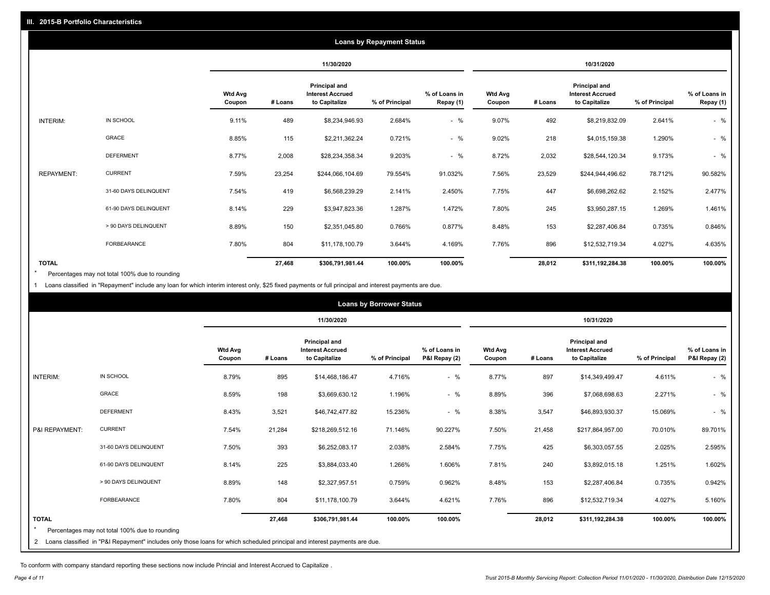|                   |                       |                          |         |                                                                  | <b>Loans by Repayment Status</b> |                            |                          |         |                                                           |                |                            |
|-------------------|-----------------------|--------------------------|---------|------------------------------------------------------------------|----------------------------------|----------------------------|--------------------------|---------|-----------------------------------------------------------|----------------|----------------------------|
|                   |                       |                          |         | 11/30/2020                                                       |                                  |                            |                          |         | 10/31/2020                                                |                |                            |
|                   |                       | <b>Wtd Avg</b><br>Coupon | # Loans | <b>Principal and</b><br><b>Interest Accrued</b><br>to Capitalize | % of Principal                   | % of Loans in<br>Repay (1) | <b>Wtd Avg</b><br>Coupon | # Loans | Principal and<br><b>Interest Accrued</b><br>to Capitalize | % of Principal | % of Loans in<br>Repay (1) |
| INTERIM:          | IN SCHOOL             | 9.11%                    | 489     | \$8,234,946.93                                                   | 2.684%                           | $-$ %                      | 9.07%                    | 492     | \$8,219,832.09                                            | 2.641%         | $-$ %                      |
|                   | <b>GRACE</b>          | 8.85%                    | 115     | \$2,211,362.24                                                   | 0.721%                           | $-$ %                      | 9.02%                    | 218     | \$4,015,159.38                                            | 1.290%         | $-$ %                      |
|                   | <b>DEFERMENT</b>      | 8.77%                    | 2,008   | \$28,234,358.34                                                  | 9.203%                           | $-$ %                      | 8.72%                    | 2,032   | \$28,544,120.34                                           | 9.173%         | $-$ %                      |
| <b>REPAYMENT:</b> | <b>CURRENT</b>        | 7.59%                    | 23,254  | \$244,066,104.69                                                 | 79.554%                          | 91.032%                    | 7.56%                    | 23,529  | \$244,944,496.62                                          | 78.712%        | 90.582%                    |
|                   | 31-60 DAYS DELINQUENT | 7.54%                    | 419     | \$6,568,239.29                                                   | 2.141%                           | 2.450%                     | 7.75%                    | 447     | \$6,698,262.62                                            | 2.152%         | 2.477%                     |
|                   | 61-90 DAYS DELINQUENT | 8.14%                    | 229     | \$3,947,823.36                                                   | 1.287%                           | 1.472%                     | 7.80%                    | 245     | \$3,950,287.15                                            | 1.269%         | 1.461%                     |
|                   | > 90 DAYS DELINQUENT  | 8.89%                    | 150     | \$2,351,045.80                                                   | 0.766%                           | 0.877%                     | 8.48%                    | 153     | \$2,287,406.84                                            | 0.735%         | 0.846%                     |
|                   | FORBEARANCE           | 7.80%                    | 804     | \$11,178,100.79                                                  | 3.644%                           | 4.169%                     | 7.76%                    | 896     | \$12,532,719.34                                           | 4.027%         | 4.635%                     |
| <b>TOTAL</b>      |                       |                          | 27,468  | \$306,791,981.44                                                 | 100.00%                          | 100.00%                    |                          | 28,012  | \$311,192,284.38                                          | 100.00%        | 100.00%                    |

Percentages may not total 100% due to rounding \*

1 Loans classified in "Repayment" include any loan for which interim interest only, \$25 fixed payments or full principal and interest payments are due.

| <b>Loans by Borrower Status</b> |                                                                                                                              |                          |         |                                                                  |                |                                |                          |         |                                                                  |                |                                |
|---------------------------------|------------------------------------------------------------------------------------------------------------------------------|--------------------------|---------|------------------------------------------------------------------|----------------|--------------------------------|--------------------------|---------|------------------------------------------------------------------|----------------|--------------------------------|
|                                 |                                                                                                                              |                          |         | 11/30/2020                                                       |                |                                | 10/31/2020               |         |                                                                  |                |                                |
|                                 |                                                                                                                              | <b>Wtd Avg</b><br>Coupon | # Loans | <b>Principal and</b><br><b>Interest Accrued</b><br>to Capitalize | % of Principal | % of Loans in<br>P&I Repay (2) | <b>Wtd Avg</b><br>Coupon | # Loans | <b>Principal and</b><br><b>Interest Accrued</b><br>to Capitalize | % of Principal | % of Loans in<br>P&I Repay (2) |
| <b>INTERIM:</b>                 | IN SCHOOL                                                                                                                    | 8.79%                    | 895     | \$14,468,186.47                                                  | 4.716%         | $-$ %                          | 8.77%                    | 897     | \$14,349,499.47                                                  | 4.611%         | $-$ %                          |
|                                 | <b>GRACE</b>                                                                                                                 | 8.59%                    | 198     | \$3,669,630.12                                                   | 1.196%         | $-$ %                          | 8.89%                    | 396     | \$7,068,698.63                                                   | 2.271%         | $-$ %                          |
|                                 | <b>DEFERMENT</b>                                                                                                             | 8.43%                    | 3,521   | \$46,742,477.82                                                  | 15.236%        | $-$ %                          | 8.38%                    | 3,547   | \$46,893,930.37                                                  | 15.069%        | $-$ %                          |
| P&I REPAYMENT:                  | <b>CURRENT</b>                                                                                                               | 7.54%                    | 21,284  | \$218,269,512.16                                                 | 71.146%        | 90.227%                        | 7.50%                    | 21,458  | \$217,864,957.00                                                 | 70.010%        | 89.701%                        |
|                                 | 31-60 DAYS DELINQUENT                                                                                                        | 7.50%                    | 393     | \$6,252,083.17                                                   | 2.038%         | 2.584%                         | 7.75%                    | 425     | \$6,303,057.55                                                   | 2.025%         | 2.595%                         |
|                                 | 61-90 DAYS DELINQUENT                                                                                                        | 8.14%                    | 225     | \$3,884,033.40                                                   | 1.266%         | 1.606%                         | 7.81%                    | 240     | \$3,892,015.18                                                   | 1.251%         | 1.602%                         |
|                                 | > 90 DAYS DELINQUENT                                                                                                         | 8.89%                    | 148     | \$2,327,957.51                                                   | 0.759%         | 0.962%                         | 8.48%                    | 153     | \$2,287,406.84                                                   | 0.735%         | 0.942%                         |
|                                 | <b>FORBEARANCE</b>                                                                                                           | 7.80%                    | 804     | \$11,178,100.79                                                  | 3.644%         | 4.621%                         | 7.76%                    | 896     | \$12,532,719.34                                                  | 4.027%         | 5.160%                         |
| <b>TOTAL</b>                    | Percentages may not total 100% due to rounding                                                                               |                          | 27,468  | \$306,791,981.44                                                 | 100.00%        | 100.00%                        |                          | 28,012  | \$311,192,284.38                                                 | 100.00%        | 100.00%                        |
|                                 | 2 Loans classified in "P&I Repayment" includes only those loans for which scheduled principal and interest payments are due. |                          |         |                                                                  |                |                                |                          |         |                                                                  |                |                                |

To conform with company standard reporting these sections now include Princial and Interest Accrued to Capitalize .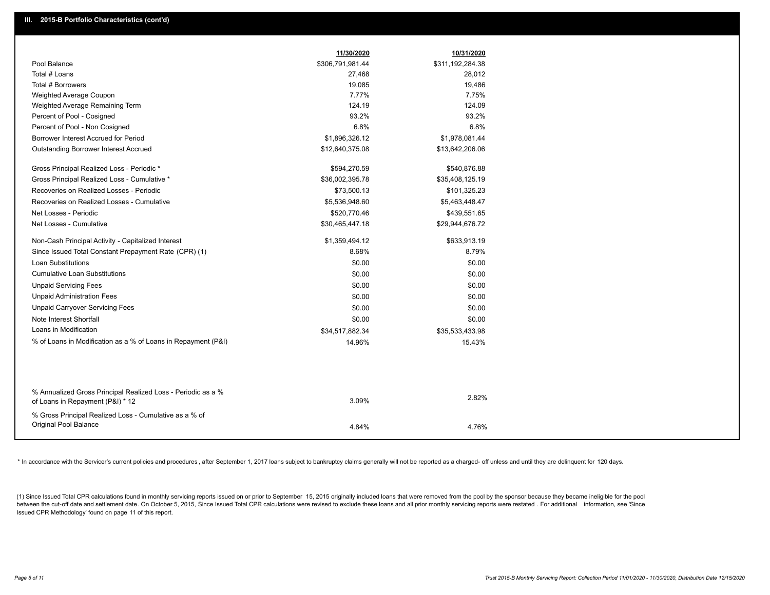|                                                                                                  | 11/30/2020       | 10/31/2020       |
|--------------------------------------------------------------------------------------------------|------------------|------------------|
| Pool Balance                                                                                     | \$306,791,981.44 | \$311,192,284.38 |
| Total # Loans                                                                                    | 27,468           | 28,012           |
| Total # Borrowers                                                                                | 19,085           | 19,486           |
| Weighted Average Coupon                                                                          | 7.77%            | 7.75%            |
| Weighted Average Remaining Term                                                                  | 124.19           | 124.09           |
| Percent of Pool - Cosigned                                                                       | 93.2%            | 93.2%            |
| Percent of Pool - Non Cosigned                                                                   | 6.8%             | 6.8%             |
| Borrower Interest Accrued for Period                                                             | \$1,896,326.12   | \$1,978,081.44   |
| Outstanding Borrower Interest Accrued                                                            | \$12,640,375.08  | \$13,642,206.06  |
| Gross Principal Realized Loss - Periodic *                                                       | \$594,270.59     | \$540,876.88     |
| Gross Principal Realized Loss - Cumulative *                                                     | \$36,002,395.78  | \$35,408,125.19  |
| Recoveries on Realized Losses - Periodic                                                         | \$73,500.13      | \$101,325.23     |
| Recoveries on Realized Losses - Cumulative                                                       | \$5,536,948.60   | \$5,463,448.47   |
| Net Losses - Periodic                                                                            | \$520,770.46     | \$439,551.65     |
| Net Losses - Cumulative                                                                          | \$30,465,447.18  | \$29,944,676.72  |
| Non-Cash Principal Activity - Capitalized Interest                                               | \$1,359,494.12   | \$633,913.19     |
| Since Issued Total Constant Prepayment Rate (CPR) (1)                                            | 8.68%            | 8.79%            |
| <b>Loan Substitutions</b>                                                                        | \$0.00           | \$0.00           |
| <b>Cumulative Loan Substitutions</b>                                                             | \$0.00           | \$0.00           |
| <b>Unpaid Servicing Fees</b>                                                                     | \$0.00           | \$0.00           |
| <b>Unpaid Administration Fees</b>                                                                | \$0.00           | \$0.00           |
| <b>Unpaid Carryover Servicing Fees</b>                                                           | \$0.00           | \$0.00           |
| Note Interest Shortfall                                                                          | \$0.00           | \$0.00           |
| Loans in Modification                                                                            | \$34,517,882.34  | \$35,533,433.98  |
| % of Loans in Modification as a % of Loans in Repayment (P&I)                                    | 14.96%           | 15.43%           |
|                                                                                                  |                  |                  |
|                                                                                                  |                  |                  |
| % Annualized Gross Principal Realized Loss - Periodic as a %<br>of Loans in Repayment (P&I) * 12 | 3.09%            | 2.82%            |
| % Gross Principal Realized Loss - Cumulative as a % of                                           |                  |                  |
| Original Pool Balance                                                                            | 4.84%            | 4.76%            |
|                                                                                                  |                  |                  |

\* In accordance with the Servicer's current policies and procedures, after September 1, 2017 loans subject to bankruptcy claims generally will not be reported as a charged- off unless and until they are delinquent for 120

(1) Since Issued Total CPR calculations found in monthly servicing reports issued on or prior to September 15, 2015 originally included loans that were removed from the pool by the sponsor because they became ineligible fo between the cut-off date and settlement date. On October 5, 2015, Since Issued Total CPR calculations were revised to exclude these loans and all prior monthly servicing reports were restated. For additional information, s Issued CPR Methodology' found on page 11 of this report.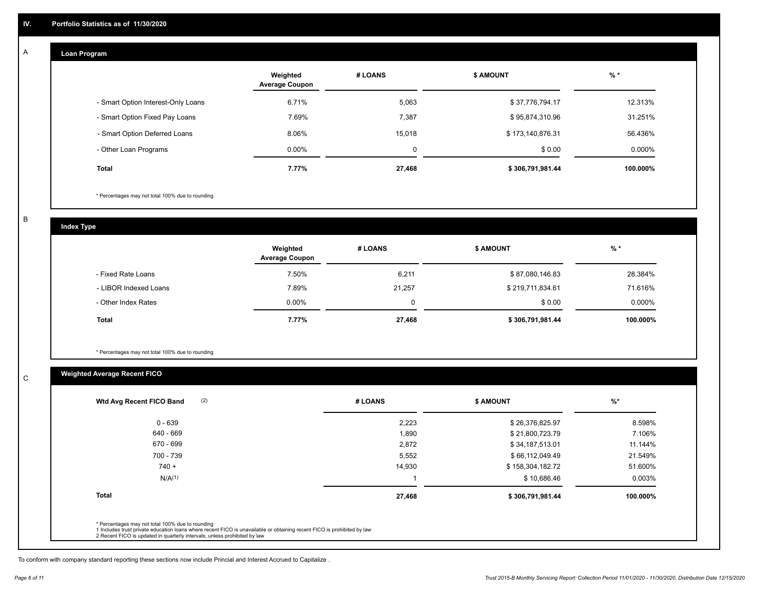#### **Loan Program**  A

|                                    | Weighted<br><b>Average Coupon</b> | # LOANS | <b>S AMOUNT</b>  | $%$ *     |
|------------------------------------|-----------------------------------|---------|------------------|-----------|
| - Smart Option Interest-Only Loans | 6.71%                             | 5,063   | \$37,776,794.17  | 12.313%   |
| - Smart Option Fixed Pay Loans     | 7.69%                             | 7.387   | \$95,874,310.96  | 31.251%   |
| - Smart Option Deferred Loans      | 8.06%                             | 15.018  | \$173,140,876.31 | 56.436%   |
| - Other Loan Programs              | $0.00\%$                          | 0       | \$0.00           | $0.000\%$ |
| <b>Total</b>                       | 7.77%                             | 27,468  | \$306,791,981.44 | 100.000%  |

\* Percentages may not total 100% due to rounding

B

C

**Index Type**

|                       | Weighted<br><b>Average Coupon</b> | # LOANS | <b>\$ AMOUNT</b> | $%$ *    |
|-----------------------|-----------------------------------|---------|------------------|----------|
| - Fixed Rate Loans    | 7.50%                             | 6,211   | \$87,080,146.83  | 28.384%  |
| - LIBOR Indexed Loans | 7.89%                             | 21,257  | \$219,711,834.61 | 71.616%  |
| - Other Index Rates   | $0.00\%$                          |         | \$0.00           | 0.000%   |
| Total                 | 7.77%                             | 27,468  | \$306,791,981.44 | 100.000% |

\* Percentages may not total 100% due to rounding

### **Weighted Average Recent FICO**

| (2)<br>Wtd Avg Recent FICO Band                                                                                                                                                                                                                          | # LOANS | \$ AMOUNT        | %*       |
|----------------------------------------------------------------------------------------------------------------------------------------------------------------------------------------------------------------------------------------------------------|---------|------------------|----------|
| $0 - 639$                                                                                                                                                                                                                                                | 2,223   | \$26,376,825.97  | 8.598%   |
| 640 - 669                                                                                                                                                                                                                                                | 1,890   | \$21,800,723.79  | 7.106%   |
| 670 - 699                                                                                                                                                                                                                                                | 2,872   | \$34,187,513.01  | 11.144%  |
| 700 - 739                                                                                                                                                                                                                                                | 5,552   | \$66,112,049.49  | 21.549%  |
| $740 +$                                                                                                                                                                                                                                                  | 14,930  | \$158,304,182.72 | 51.600%  |
| N/A <sup>(1)</sup>                                                                                                                                                                                                                                       |         | \$10,686.46      | 0.003%   |
| <b>Total</b>                                                                                                                                                                                                                                             | 27,468  | \$306,791,981.44 | 100.000% |
|                                                                                                                                                                                                                                                          |         |                  |          |
| * Percentages may not total 100% due to rounding<br>1 Includes trust private education loans where recent FICO is unavailable or obtaining recent FICO is prohibited by law<br>2 Recent FICO is updated in quarterly intervals; unless prohibited by law |         |                  |          |

To conform with company standard reporting these sections now include Princial and Interest Accrued to Capitalize .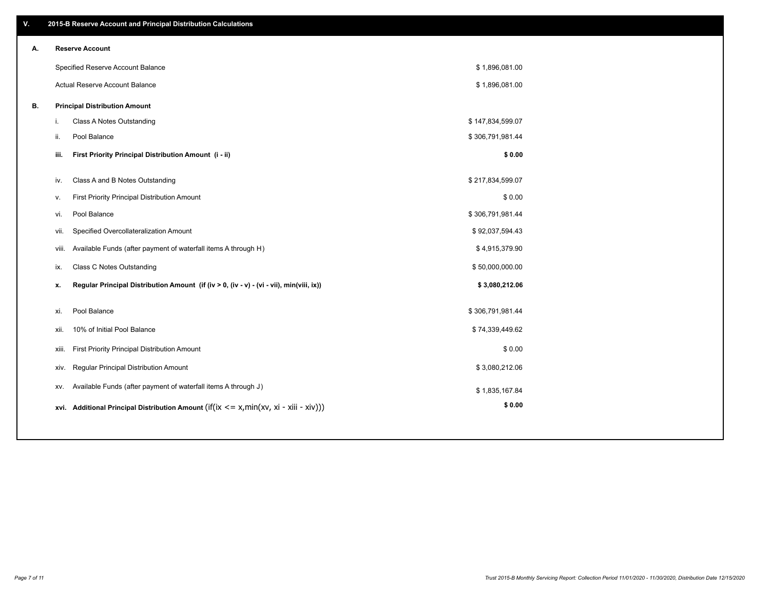| V. |     | 2015-B Reserve Account and Principal Distribution Calculations                             |                  |  |
|----|-----|--------------------------------------------------------------------------------------------|------------------|--|
| А. |     | <b>Reserve Account</b>                                                                     |                  |  |
|    |     | Specified Reserve Account Balance                                                          | \$1,896,081.00   |  |
|    |     | Actual Reserve Account Balance                                                             | \$1,896,081.00   |  |
| В. |     | <b>Principal Distribution Amount</b>                                                       |                  |  |
|    | i.  | Class A Notes Outstanding                                                                  | \$147,834,599.07 |  |
|    | ii. | Pool Balance                                                                               | \$306,791,981.44 |  |
|    |     | First Priority Principal Distribution Amount (i - ii)<br>iii.                              | \$0.00           |  |
|    | iv. | Class A and B Notes Outstanding                                                            | \$217,834,599.07 |  |
|    | v.  | First Priority Principal Distribution Amount                                               | \$0.00           |  |
|    | vi. | Pool Balance                                                                               | \$306,791,981.44 |  |
|    |     | Specified Overcollateralization Amount<br>vii.                                             | \$92,037,594.43  |  |
|    |     | Available Funds (after payment of waterfall items A through H)<br>viii.                    | \$4,915,379.90   |  |
|    | ix. | Class C Notes Outstanding                                                                  | \$50,000,000.00  |  |
|    | x.  | Regular Principal Distribution Amount (if (iv > 0, (iv - v) - (vi - vii), min(viii, ix))   | \$3,080,212.06   |  |
|    |     |                                                                                            |                  |  |
|    | xi. | Pool Balance                                                                               | \$306,791,981.44 |  |
|    |     | 10% of Initial Pool Balance<br>xii.                                                        | \$74,339,449.62  |  |
|    |     | First Priority Principal Distribution Amount<br>xiii.                                      | \$0.00           |  |
|    |     | Regular Principal Distribution Amount<br>XIV.                                              | \$3,080,212.06   |  |
|    |     | Available Funds (after payment of waterfall items A through J)<br>XV.                      | \$1,835,167.84   |  |
|    |     | xvi. Additional Principal Distribution Amount (if(ix $\lt$ = x, min(xv, xi - xiii - xiv))) | \$0.00           |  |
|    |     |                                                                                            |                  |  |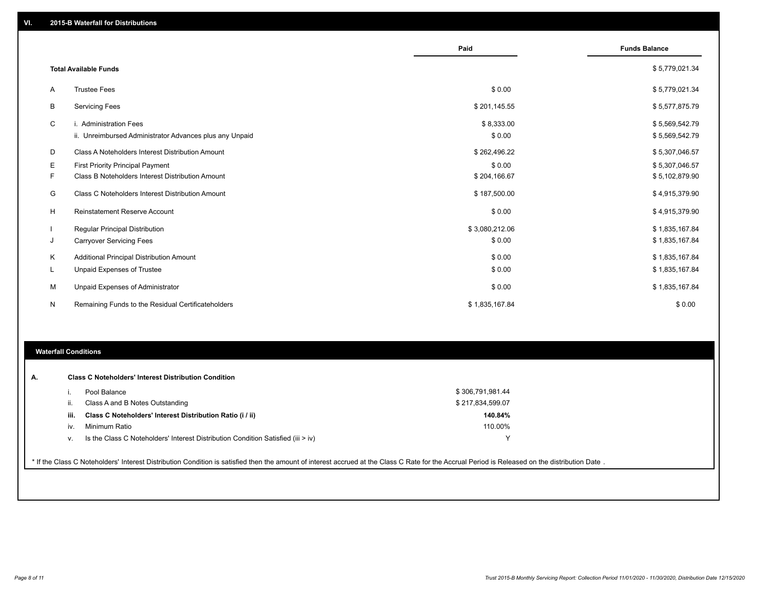|    |                                                         | Paid           | <b>Funds Balance</b> |  |
|----|---------------------------------------------------------|----------------|----------------------|--|
|    | <b>Total Available Funds</b>                            |                | \$5,779,021.34       |  |
| A  | <b>Trustee Fees</b>                                     | \$0.00         | \$5,779,021.34       |  |
| В  | <b>Servicing Fees</b>                                   | \$201,145.55   | \$5,577,875.79       |  |
| C  | i. Administration Fees                                  | \$8,333.00     | \$5,569,542.79       |  |
|    | ii. Unreimbursed Administrator Advances plus any Unpaid | \$0.00         | \$5,569,542.79       |  |
| D  | Class A Noteholders Interest Distribution Amount        | \$262,496.22   | \$5,307,046.57       |  |
| Ε  | <b>First Priority Principal Payment</b>                 | \$0.00         | \$5,307,046.57       |  |
| F  | Class B Noteholders Interest Distribution Amount        | \$204,166.67   | \$5,102,879.90       |  |
| G  | Class C Noteholders Interest Distribution Amount        | \$187,500.00   | \$4,915,379.90       |  |
| H  | <b>Reinstatement Reserve Account</b>                    | \$0.00         | \$4,915,379.90       |  |
|    | <b>Regular Principal Distribution</b>                   | \$3,080,212.06 | \$1,835,167.84       |  |
| J  | <b>Carryover Servicing Fees</b>                         | \$0.00         | \$1,835,167.84       |  |
| Κ  | Additional Principal Distribution Amount                | \$0.00         | \$1,835,167.84       |  |
| L. | Unpaid Expenses of Trustee                              | \$0.00         | \$1,835,167.84       |  |
| м  | Unpaid Expenses of Administrator                        | \$0.00         | \$1,835,167.84       |  |
| N  | Remaining Funds to the Residual Certificateholders      | \$1,835,167.84 | \$0.00               |  |
|    |                                                         |                |                      |  |

#### **Waterfall Conditions**

|      | Pool Balance                                                                     | \$306,791,981.44 |  |
|------|----------------------------------------------------------------------------------|------------------|--|
|      | Class A and B Notes Outstanding                                                  | \$217,834,599.07 |  |
| iii. | Class C Noteholders' Interest Distribution Ratio (i / ii)                        | 140.84%          |  |
| iv.  | Minimum Ratio                                                                    | 110.00%          |  |
| v.   | Is the Class C Noteholders' Interest Distribution Condition Satisfied (iii > iv) |                  |  |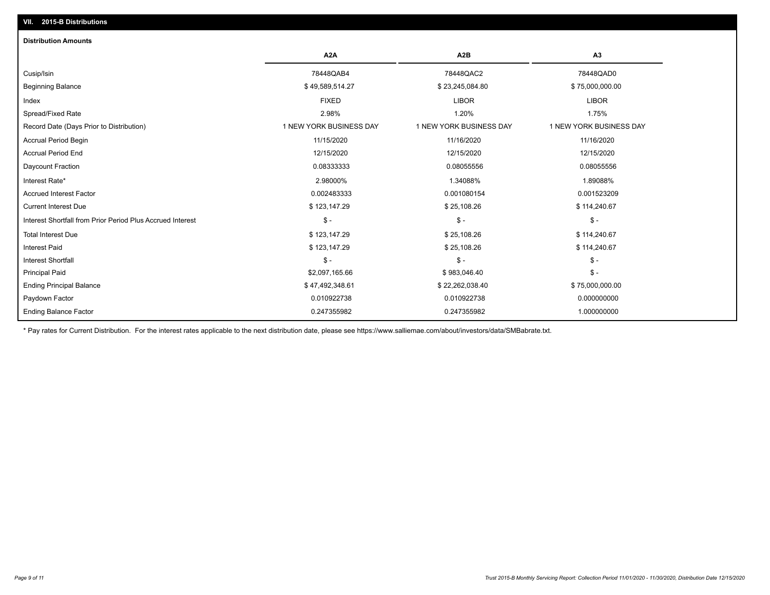## Ending Balance Factor Paydown Factor 0.010922738 0.010922738 0.000000000 Ending Principal Balance \$ 75,000,000.00 \$ 47,492,348.61 \$ \$ 47,492,348.61 \$ 22,262,038.40 \$ 75,000,000.00 Principal Paid \$2,097,165.66 \$ 983,046.40 \$ - Interest Shortfall \$ - \$ - \$ - Interest Paid \$ 123,147.29 \$ 25,108.26 \$ 114,240.67 Total Interest Due \$ 123,147.29 \$ 25,108.26 \$ 114,240.67 Interest Shortfall from Prior Period Plus Accrued Interest \$ - \$ - \$ - Current Interest Due \$ 123,147.29 \$ 25,108.26 \$ 114,240.67 Accrued Interest Factor 0.002483333 0.001080154 0.001523209 Interest Rate\* 2.98000% 1.34088% 1.89088% Daycount Fraction 0.08333333 0.08055556 0.08055556 Accrual Period End 12/15/2020 12/15/2020 12/15/2020 Accrual Period Begin 11/15/2020 11/16/2020 11/16/2020 Record Date (Days Prior to Distribution) 1 1 NEW YORK BUSINESS DAY 1 NEW YORK BUSINESS DAY 1 NEW YORK BUSINESS DAY Spread/Fixed Rate 2.98% 1.20% 1.75% Index FIXED LIBOR LIBOR Beginning Balance \$ 75,000,000.00 \$ 23,245,084.80 \$ 23,245,084.80 \$ 75,000,000.00 \$ 75,000,000.00 \$ 3 Cusip/Isin 78448QAB4 78448QAC2 78448QAD0 **A2A A2B A3** 0.247355982 0.247355982 1.000000000 **Distribution Amounts**

\* Pay rates for Current Distribution. For the interest rates applicable to the next distribution date, please see https://www.salliemae.com/about/investors/data/SMBabrate.txt.

**VII. 2015-B Distributions**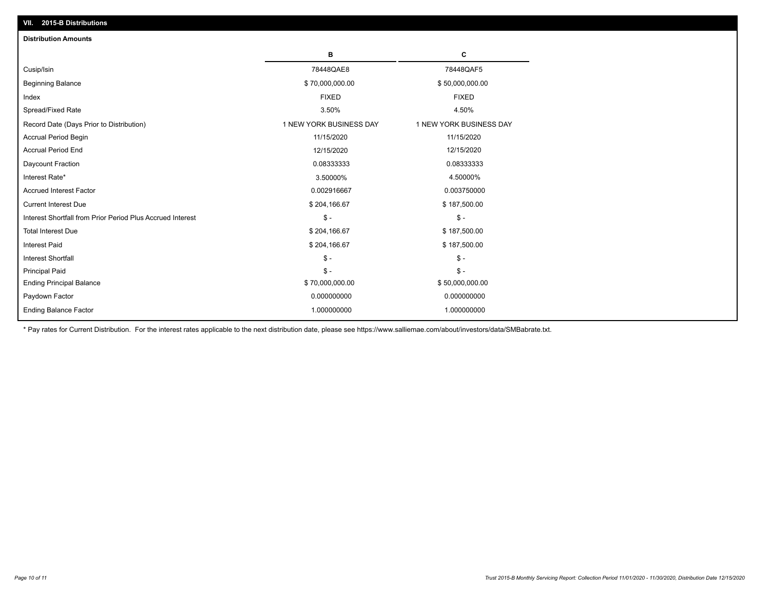| VII. 2015-B Distributions                                  |                         |                         |  |  |  |
|------------------------------------------------------------|-------------------------|-------------------------|--|--|--|
| <b>Distribution Amounts</b>                                |                         |                         |  |  |  |
|                                                            | в                       | C                       |  |  |  |
| Cusip/Isin                                                 | 78448QAE8               | 78448QAF5               |  |  |  |
| <b>Beginning Balance</b>                                   | \$70,000,000.00         | \$50,000,000.00         |  |  |  |
| Index                                                      | <b>FIXED</b>            | <b>FIXED</b>            |  |  |  |
| Spread/Fixed Rate                                          | 3.50%                   | 4.50%                   |  |  |  |
| Record Date (Days Prior to Distribution)                   | 1 NEW YORK BUSINESS DAY | 1 NEW YORK BUSINESS DAY |  |  |  |
| <b>Accrual Period Begin</b>                                | 11/15/2020              | 11/15/2020              |  |  |  |
| <b>Accrual Period End</b>                                  | 12/15/2020              | 12/15/2020              |  |  |  |
| Daycount Fraction                                          | 0.08333333              | 0.08333333              |  |  |  |
| Interest Rate*                                             | 3.50000%                | 4.50000%                |  |  |  |
| <b>Accrued Interest Factor</b>                             | 0.002916667             | 0.003750000             |  |  |  |
| <b>Current Interest Due</b>                                | \$204,166.67            | \$187,500.00            |  |  |  |
| Interest Shortfall from Prior Period Plus Accrued Interest | $\mathsf{\$}$ -         | $\mathsf{\$}$ -         |  |  |  |
| <b>Total Interest Due</b>                                  | \$204,166.67            | \$187,500.00            |  |  |  |
| Interest Paid                                              | \$204,166.67            | \$187,500.00            |  |  |  |
| Interest Shortfall                                         | $\mathcal{S}$ -         | $\mathcal{S}$ -         |  |  |  |
| <b>Principal Paid</b>                                      | $\mathsf{\$}$ -         | $\mathsf{\$}$ -         |  |  |  |
| <b>Ending Principal Balance</b>                            | \$70,000,000.00         | \$50,000,000.00         |  |  |  |
| Paydown Factor                                             | 0.000000000             | 0.000000000             |  |  |  |
| <b>Ending Balance Factor</b>                               | 1.000000000             | 1.000000000             |  |  |  |

\* Pay rates for Current Distribution. For the interest rates applicable to the next distribution date, please see https://www.salliemae.com/about/investors/data/SMBabrate.txt.